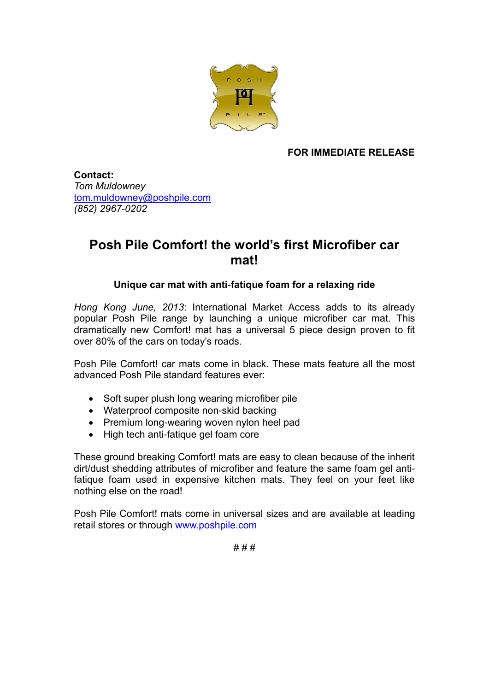

**FOR IMMEDIATE RELEASE**

**Contact:** *Tom Muldowney* [tom.muldowney@poshpile.com](mailto:tom.muldowney@poshpile.com) *(852) 2967-0202*

## **Posh Pile Comfort! the world's first Microfiber car mat!**

## **Unique car mat with anti-fatique foam for a relaxing ride**

*Hong Kong June, 2013*: International Market Access adds to its already popular Posh Pile range by launching a unique microfiber car mat. This dramatically new Comfort! mat has a universal 5 piece design proven to fit over 80% of the cars on today's roads.

Posh Pile Comfort! car mats come in black. These mats feature all the most advanced Posh Pile standard features ever:

- Soft super plush long wearing microfiber pile
- Waterproof composite non-skid backing
- Premium long-wearing woven nylon heel pad
- High tech anti-fatique gel foam core

These ground breaking Comfort! mats are easy to clean because of the inherit dirt/dust shedding attributes of microfiber and feature the same foam gel antifatique foam used in expensive kitchen mats. They feel on your feet like nothing else on the road!

Posh Pile Comfort! mats come in universal sizes and are available at leading retail stores or through [www.poshpile.com](http://www.poshpile.com/)

# # #